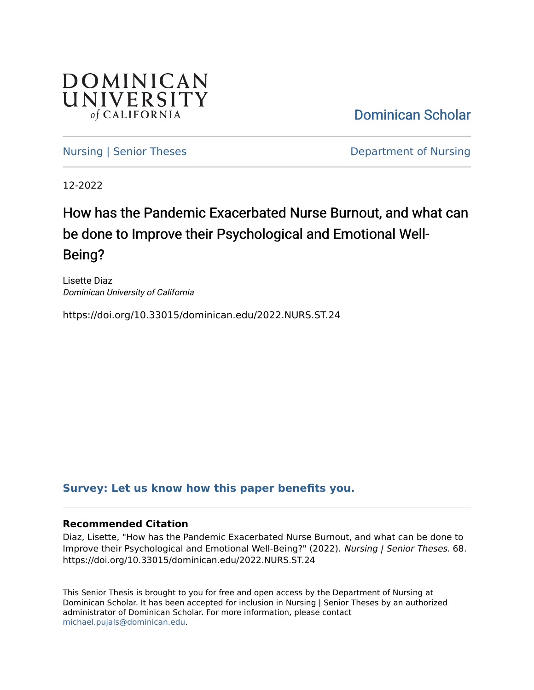

[Dominican Scholar](https://scholar.dominican.edu/) 

[Nursing | Senior Theses](https://scholar.dominican.edu/nursing-senior-theses) **Department of Nursing** 

12-2022

# How has the Pandemic Exacerbated Nurse Burnout, and what can be done to Improve their Psychological and Emotional Well-Being?

Lisette Diaz Dominican University of California

https://doi.org/10.33015/dominican.edu/2022.NURS.ST.24

## **[Survey: Let us know how this paper benefits you.](https://dominican.libwizard.com/dominican-scholar-feedback)**

#### **Recommended Citation**

Diaz, Lisette, "How has the Pandemic Exacerbated Nurse Burnout, and what can be done to Improve their Psychological and Emotional Well-Being?" (2022). Nursing | Senior Theses. 68. https://doi.org/10.33015/dominican.edu/2022.NURS.ST.24

This Senior Thesis is brought to you for free and open access by the Department of Nursing at Dominican Scholar. It has been accepted for inclusion in Nursing | Senior Theses by an authorized administrator of Dominican Scholar. For more information, please contact [michael.pujals@dominican.edu.](mailto:michael.pujals@dominican.edu)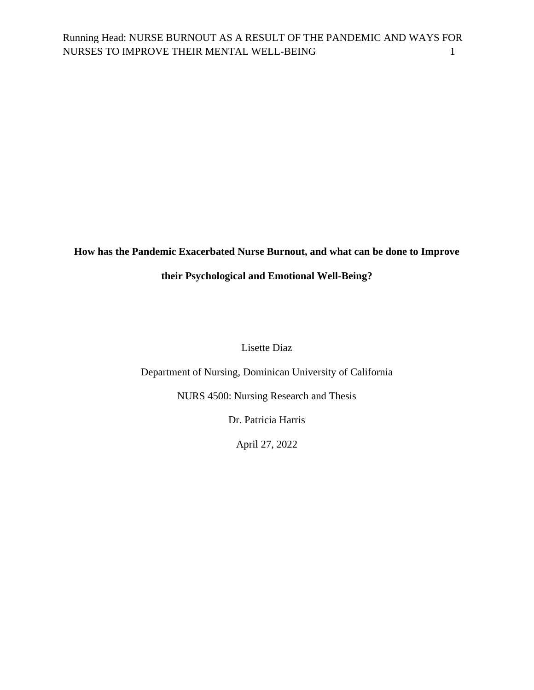## **How has the Pandemic Exacerbated Nurse Burnout, and what can be done to Improve**

## **their Psychological and Emotional Well-Being?**

Lisette Diaz

Department of Nursing, Dominican University of California

NURS 4500: Nursing Research and Thesis

Dr. Patricia Harris

April 27, 2022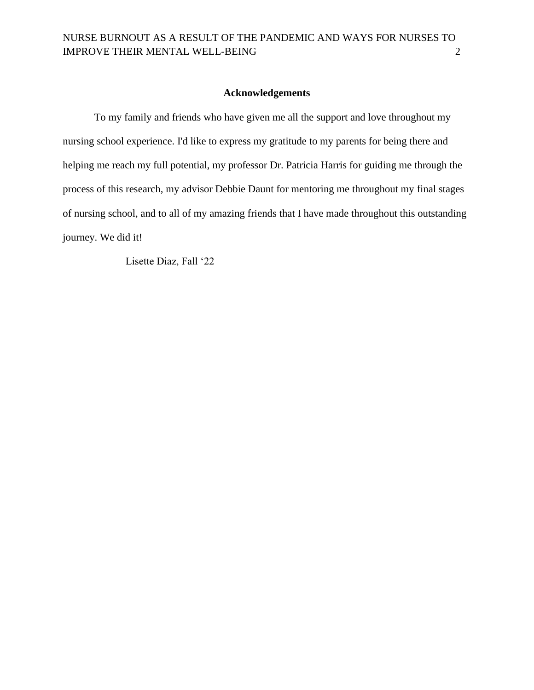#### **Acknowledgements**

To my family and friends who have given me all the support and love throughout my nursing school experience. I'd like to express my gratitude to my parents for being there and helping me reach my full potential, my professor Dr. Patricia Harris for guiding me through the process of this research, my advisor Debbie Daunt for mentoring me throughout my final stages of nursing school, and to all of my amazing friends that I have made throughout this outstanding journey. We did it!

Lisette Diaz, Fall '22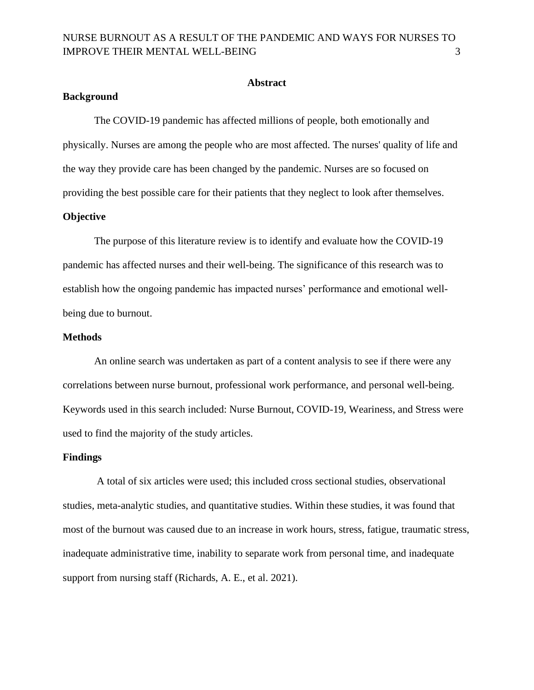#### **Abstract**

#### **Background**

The COVID-19 pandemic has affected millions of people, both emotionally and physically. Nurses are among the people who are most affected. The nurses' quality of life and the way they provide care has been changed by the pandemic. Nurses are so focused on providing the best possible care for their patients that they neglect to look after themselves. **Objective**

The purpose of this literature review is to identify and evaluate how the COVID-19 pandemic has affected nurses and their well-being. The significance of this research was to establish how the ongoing pandemic has impacted nurses' performance and emotional wellbeing due to burnout.

#### **Methods**

An online search was undertaken as part of a content analysis to see if there were any correlations between nurse burnout, professional work performance, and personal well-being. Keywords used in this search included: Nurse Burnout, COVID-19, Weariness, and Stress were used to find the majority of the study articles.

#### **Findings**

A total of six articles were used; this included cross sectional studies, observational studies, meta-analytic studies, and quantitative studies. Within these studies, it was found that most of the burnout was caused due to an increase in work hours, stress, fatigue, traumatic stress, inadequate administrative time, inability to separate work from personal time, and inadequate support from nursing staff (Richards, A. E., et al. 2021).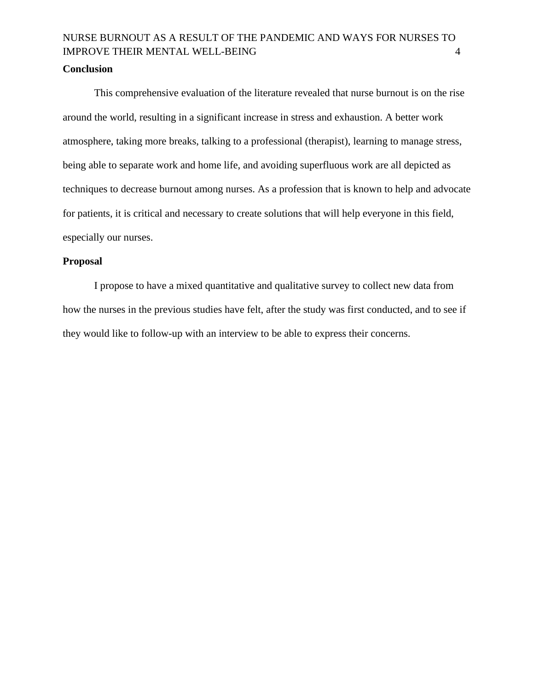#### **Conclusion**

This comprehensive evaluation of the literature revealed that nurse burnout is on the rise around the world, resulting in a significant increase in stress and exhaustion. A better work atmosphere, taking more breaks, talking to a professional (therapist), learning to manage stress, being able to separate work and home life, and avoiding superfluous work are all depicted as techniques to decrease burnout among nurses. As a profession that is known to help and advocate for patients, it is critical and necessary to create solutions that will help everyone in this field, especially our nurses.

#### **Proposal**

I propose to have a mixed quantitative and qualitative survey to collect new data from how the nurses in the previous studies have felt, after the study was first conducted, and to see if they would like to follow-up with an interview to be able to express their concerns.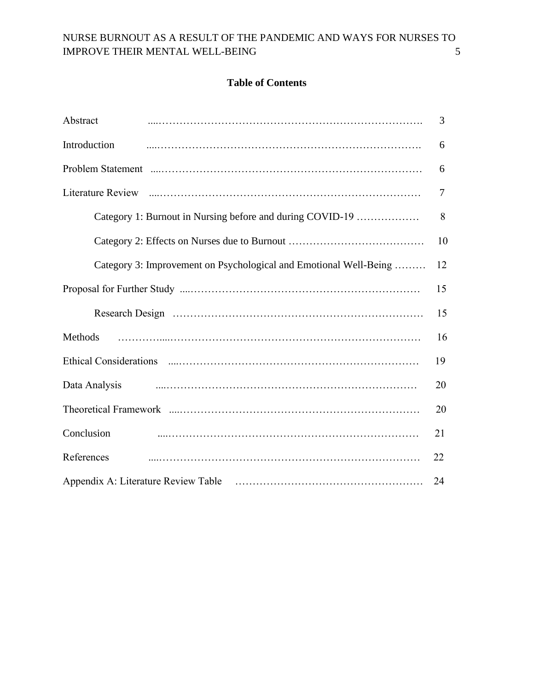## **Table of Contents**

| Abstract                                                          | 3              |
|-------------------------------------------------------------------|----------------|
| Introduction                                                      | 6              |
|                                                                   | 6              |
|                                                                   | $\overline{7}$ |
| Category 1: Burnout in Nursing before and during COVID-19         | 8              |
|                                                                   | 10             |
| Category 3: Improvement on Psychological and Emotional Well-Being | 12             |
|                                                                   | 15             |
|                                                                   | 15             |
| Methods                                                           | 16             |
|                                                                   | 19             |
| Data Analysis                                                     | 20             |
|                                                                   | 20             |
| Conclusion                                                        | 21             |
| References                                                        | 22             |
|                                                                   | 24             |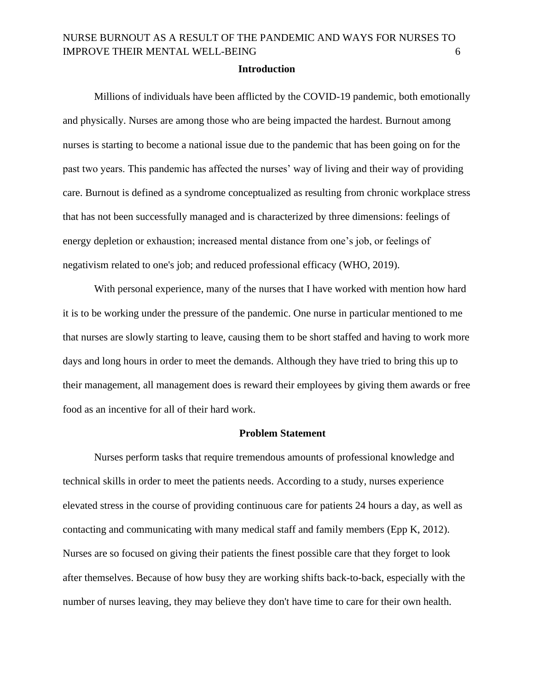#### **Introduction**

Millions of individuals have been afflicted by the COVID-19 pandemic, both emotionally and physically. Nurses are among those who are being impacted the hardest. Burnout among nurses is starting to become a national issue due to the pandemic that has been going on for the past two years. This pandemic has affected the nurses' way of living and their way of providing care. Burnout is defined as a syndrome conceptualized as resulting from chronic workplace stress that has not been successfully managed and is characterized by three dimensions: feelings of energy depletion or exhaustion; increased mental distance from one's job, or feelings of negativism related to one's job; and reduced professional efficacy (WHO, 2019).

With personal experience, many of the nurses that I have worked with mention how hard it is to be working under the pressure of the pandemic. One nurse in particular mentioned to me that nurses are slowly starting to leave, causing them to be short staffed and having to work more days and long hours in order to meet the demands. Although they have tried to bring this up to their management, all management does is reward their employees by giving them awards or free food as an incentive for all of their hard work.

#### **Problem Statement**

Nurses perform tasks that require tremendous amounts of professional knowledge and technical skills in order to meet the patients needs. According to a study, nurses experience elevated stress in the course of providing continuous care for patients 24 hours a day, as well as contacting and communicating with many medical staff and family members (Epp K, 2012). Nurses are so focused on giving their patients the finest possible care that they forget to look after themselves. Because of how busy they are working shifts back-to-back, especially with the number of nurses leaving, they may believe they don't have time to care for their own health.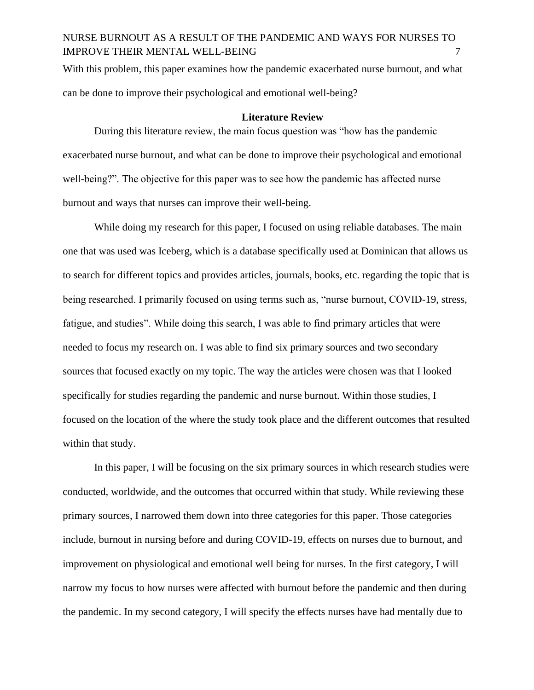With this problem, this paper examines how the pandemic exacerbated nurse burnout, and what can be done to improve their psychological and emotional well-being?

#### **Literature Review**

During this literature review, the main focus question was "how has the pandemic exacerbated nurse burnout, and what can be done to improve their psychological and emotional well-being?". The objective for this paper was to see how the pandemic has affected nurse burnout and ways that nurses can improve their well-being.

While doing my research for this paper, I focused on using reliable databases. The main one that was used was Iceberg, which is a database specifically used at Dominican that allows us to search for different topics and provides articles, journals, books, etc. regarding the topic that is being researched. I primarily focused on using terms such as, "nurse burnout, COVID-19, stress, fatigue, and studies". While doing this search, I was able to find primary articles that were needed to focus my research on. I was able to find six primary sources and two secondary sources that focused exactly on my topic. The way the articles were chosen was that I looked specifically for studies regarding the pandemic and nurse burnout. Within those studies, I focused on the location of the where the study took place and the different outcomes that resulted within that study.

In this paper, I will be focusing on the six primary sources in which research studies were conducted, worldwide, and the outcomes that occurred within that study. While reviewing these primary sources, I narrowed them down into three categories for this paper. Those categories include, burnout in nursing before and during COVID-19, effects on nurses due to burnout, and improvement on physiological and emotional well being for nurses. In the first category, I will narrow my focus to how nurses were affected with burnout before the pandemic and then during the pandemic. In my second category, I will specify the effects nurses have had mentally due to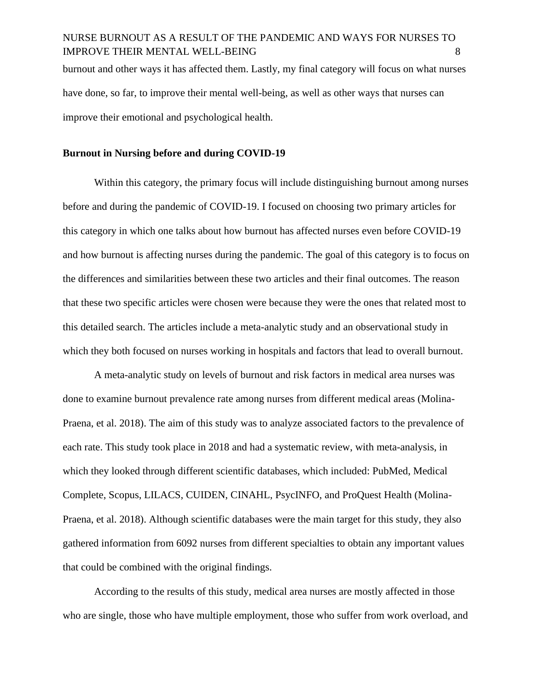burnout and other ways it has affected them. Lastly, my final category will focus on what nurses have done, so far, to improve their mental well-being, as well as other ways that nurses can improve their emotional and psychological health.

#### **Burnout in Nursing before and during COVID-19**

Within this category, the primary focus will include distinguishing burnout among nurses before and during the pandemic of COVID-19. I focused on choosing two primary articles for this category in which one talks about how burnout has affected nurses even before COVID-19 and how burnout is affecting nurses during the pandemic. The goal of this category is to focus on the differences and similarities between these two articles and their final outcomes. The reason that these two specific articles were chosen were because they were the ones that related most to this detailed search. The articles include a meta-analytic study and an observational study in which they both focused on nurses working in hospitals and factors that lead to overall burnout.

A meta-analytic study on levels of burnout and risk factors in medical area nurses was done to examine burnout prevalence rate among nurses from different medical areas (Molina-Praena, et al. 2018). The aim of this study was to analyze associated factors to the prevalence of each rate. This study took place in 2018 and had a systematic review, with meta-analysis, in which they looked through different scientific databases, which included: PubMed, Medical Complete, Scopus, LILACS, CUIDEN, CINAHL, PsycINFO, and ProQuest Health (Molina-Praena, et al. 2018). Although scientific databases were the main target for this study, they also gathered information from 6092 nurses from different specialties to obtain any important values that could be combined with the original findings.

According to the results of this study, medical area nurses are mostly affected in those who are single, those who have multiple employment, those who suffer from work overload, and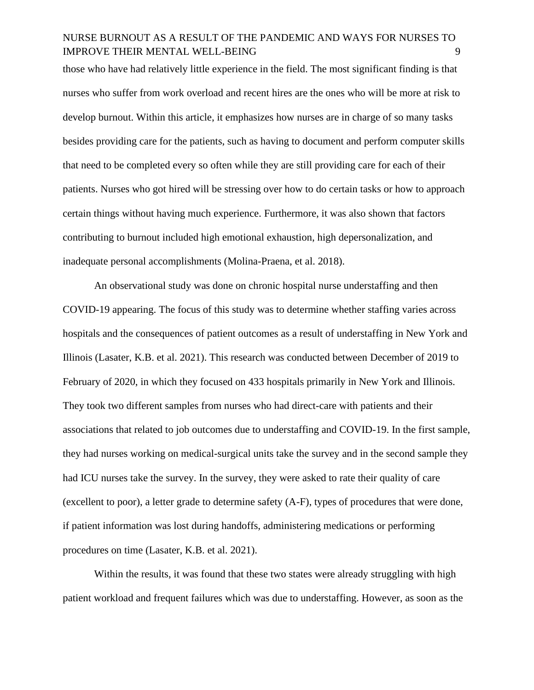those who have had relatively little experience in the field. The most significant finding is that nurses who suffer from work overload and recent hires are the ones who will be more at risk to develop burnout. Within this article, it emphasizes how nurses are in charge of so many tasks besides providing care for the patients, such as having to document and perform computer skills that need to be completed every so often while they are still providing care for each of their patients. Nurses who got hired will be stressing over how to do certain tasks or how to approach certain things without having much experience. Furthermore, it was also shown that factors contributing to burnout included high emotional exhaustion, high depersonalization, and inadequate personal accomplishments (Molina-Praena, et al. 2018).

An observational study was done on chronic hospital nurse understaffing and then COVID-19 appearing. The focus of this study was to determine whether staffing varies across hospitals and the consequences of patient outcomes as a result of understaffing in New York and Illinois (Lasater, K.B. et al. 2021). This research was conducted between December of 2019 to February of 2020, in which they focused on 433 hospitals primarily in New York and Illinois. They took two different samples from nurses who had direct-care with patients and their associations that related to job outcomes due to understaffing and COVID-19. In the first sample, they had nurses working on medical-surgical units take the survey and in the second sample they had ICU nurses take the survey. In the survey, they were asked to rate their quality of care (excellent to poor), a letter grade to determine safety (A-F), types of procedures that were done, if patient information was lost during handoffs, administering medications or performing procedures on time (Lasater, K.B. et al. 2021).

Within the results, it was found that these two states were already struggling with high patient workload and frequent failures which was due to understaffing. However, as soon as the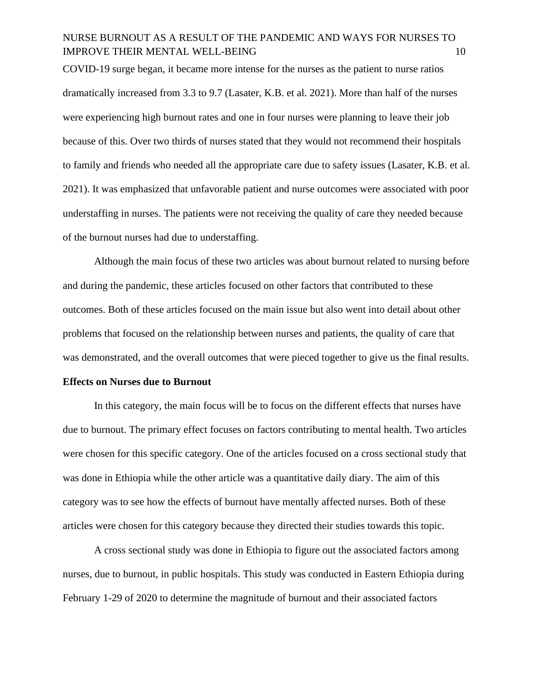COVID-19 surge began, it became more intense for the nurses as the patient to nurse ratios dramatically increased from 3.3 to 9.7 (Lasater, K.B. et al. 2021). More than half of the nurses were experiencing high burnout rates and one in four nurses were planning to leave their job because of this. Over two thirds of nurses stated that they would not recommend their hospitals to family and friends who needed all the appropriate care due to safety issues (Lasater, K.B. et al. 2021). It was emphasized that unfavorable patient and nurse outcomes were associated with poor understaffing in nurses. The patients were not receiving the quality of care they needed because of the burnout nurses had due to understaffing.

Although the main focus of these two articles was about burnout related to nursing before and during the pandemic, these articles focused on other factors that contributed to these outcomes. Both of these articles focused on the main issue but also went into detail about other problems that focused on the relationship between nurses and patients, the quality of care that was demonstrated, and the overall outcomes that were pieced together to give us the final results.

#### **Effects on Nurses due to Burnout**

In this category, the main focus will be to focus on the different effects that nurses have due to burnout. The primary effect focuses on factors contributing to mental health. Two articles were chosen for this specific category. One of the articles focused on a cross sectional study that was done in Ethiopia while the other article was a quantitative daily diary. The aim of this category was to see how the effects of burnout have mentally affected nurses. Both of these articles were chosen for this category because they directed their studies towards this topic.

A cross sectional study was done in Ethiopia to figure out the associated factors among nurses, due to burnout, in public hospitals. This study was conducted in Eastern Ethiopia during February 1-29 of 2020 to determine the magnitude of burnout and their associated factors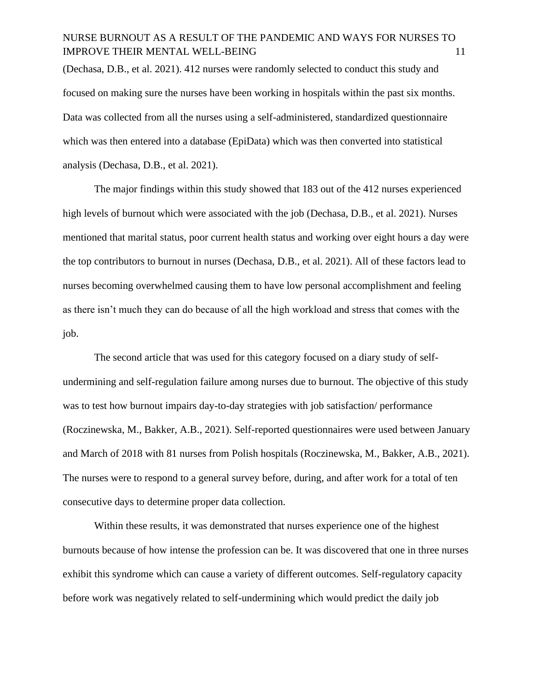(Dechasa, D.B., et al. 2021). 412 nurses were randomly selected to conduct this study and focused on making sure the nurses have been working in hospitals within the past six months. Data was collected from all the nurses using a self-administered, standardized questionnaire which was then entered into a database (EpiData) which was then converted into statistical analysis (Dechasa, D.B., et al. 2021).

The major findings within this study showed that 183 out of the 412 nurses experienced high levels of burnout which were associated with the job (Dechasa, D.B., et al. 2021). Nurses mentioned that marital status, poor current health status and working over eight hours a day were the top contributors to burnout in nurses (Dechasa, D.B., et al. 2021). All of these factors lead to nurses becoming overwhelmed causing them to have low personal accomplishment and feeling as there isn't much they can do because of all the high workload and stress that comes with the job.

The second article that was used for this category focused on a diary study of selfundermining and self-regulation failure among nurses due to burnout. The objective of this study was to test how burnout impairs day-to-day strategies with job satisfaction/ performance (Roczinewska, M., Bakker, A.B., 2021). Self-reported questionnaires were used between January and March of 2018 with 81 nurses from Polish hospitals (Roczinewska, M., Bakker, A.B., 2021). The nurses were to respond to a general survey before, during, and after work for a total of ten consecutive days to determine proper data collection.

Within these results, it was demonstrated that nurses experience one of the highest burnouts because of how intense the profession can be. It was discovered that one in three nurses exhibit this syndrome which can cause a variety of different outcomes. Self-regulatory capacity before work was negatively related to self-undermining which would predict the daily job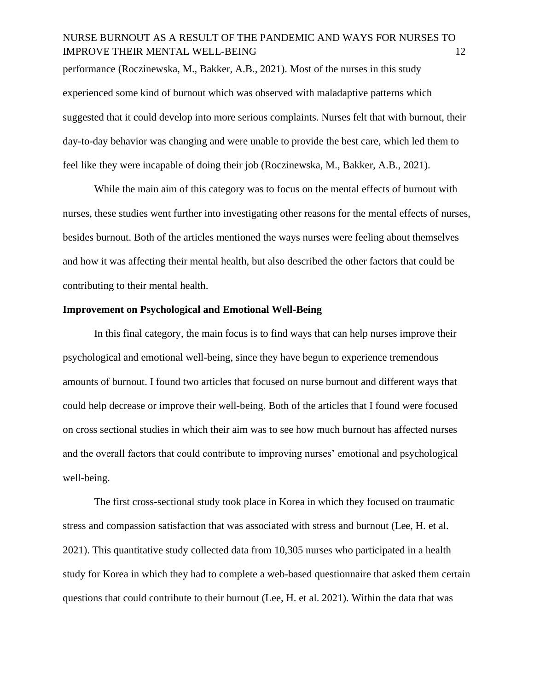performance (Roczinewska, M., Bakker, A.B., 2021). Most of the nurses in this study experienced some kind of burnout which was observed with maladaptive patterns which suggested that it could develop into more serious complaints. Nurses felt that with burnout, their day-to-day behavior was changing and were unable to provide the best care, which led them to feel like they were incapable of doing their job (Roczinewska, M., Bakker, A.B., 2021).

While the main aim of this category was to focus on the mental effects of burnout with nurses, these studies went further into investigating other reasons for the mental effects of nurses, besides burnout. Both of the articles mentioned the ways nurses were feeling about themselves and how it was affecting their mental health, but also described the other factors that could be contributing to their mental health.

#### **Improvement on Psychological and Emotional Well-Being**

In this final category, the main focus is to find ways that can help nurses improve their psychological and emotional well-being, since they have begun to experience tremendous amounts of burnout. I found two articles that focused on nurse burnout and different ways that could help decrease or improve their well-being. Both of the articles that I found were focused on cross sectional studies in which their aim was to see how much burnout has affected nurses and the overall factors that could contribute to improving nurses' emotional and psychological well-being.

The first cross-sectional study took place in Korea in which they focused on traumatic stress and compassion satisfaction that was associated with stress and burnout (Lee, H. et al. 2021). This quantitative study collected data from 10,305 nurses who participated in a health study for Korea in which they had to complete a web-based questionnaire that asked them certain questions that could contribute to their burnout (Lee, H. et al. 2021). Within the data that was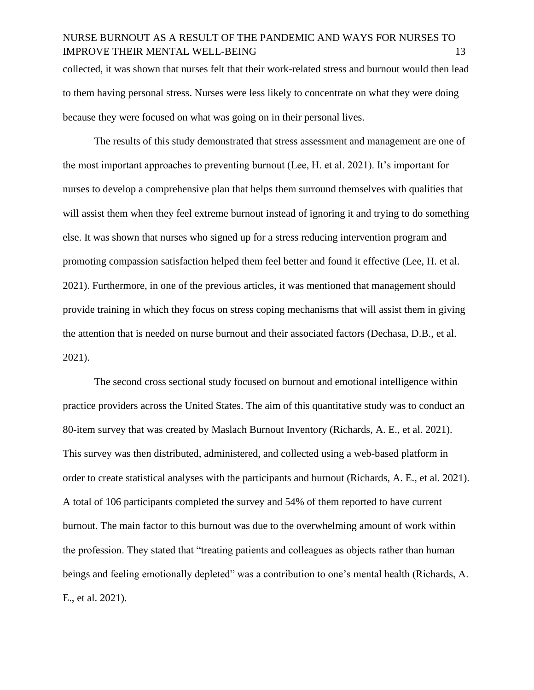collected, it was shown that nurses felt that their work-related stress and burnout would then lead to them having personal stress. Nurses were less likely to concentrate on what they were doing because they were focused on what was going on in their personal lives.

The results of this study demonstrated that stress assessment and management are one of the most important approaches to preventing burnout (Lee, H. et al. 2021). It's important for nurses to develop a comprehensive plan that helps them surround themselves with qualities that will assist them when they feel extreme burnout instead of ignoring it and trying to do something else. It was shown that nurses who signed up for a stress reducing intervention program and promoting compassion satisfaction helped them feel better and found it effective (Lee, H. et al. 2021). Furthermore, in one of the previous articles, it was mentioned that management should provide training in which they focus on stress coping mechanisms that will assist them in giving the attention that is needed on nurse burnout and their associated factors (Dechasa, D.B., et al. 2021).

The second cross sectional study focused on burnout and emotional intelligence within practice providers across the United States. The aim of this quantitative study was to conduct an 80-item survey that was created by Maslach Burnout Inventory (Richards, A. E., et al. 2021). This survey was then distributed, administered, and collected using a web-based platform in order to create statistical analyses with the participants and burnout (Richards, A. E., et al. 2021). A total of 106 participants completed the survey and 54% of them reported to have current burnout. The main factor to this burnout was due to the overwhelming amount of work within the profession. They stated that "treating patients and colleagues as objects rather than human beings and feeling emotionally depleted" was a contribution to one's mental health (Richards, A. E., et al. 2021).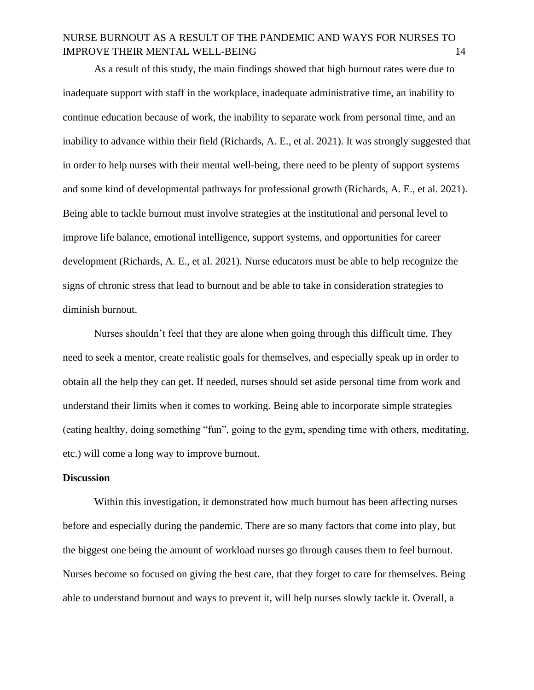As a result of this study, the main findings showed that high burnout rates were due to inadequate support with staff in the workplace, inadequate administrative time, an inability to continue education because of work, the inability to separate work from personal time, and an inability to advance within their field (Richards, A. E., et al. 2021). It was strongly suggested that in order to help nurses with their mental well-being, there need to be plenty of support systems and some kind of developmental pathways for professional growth (Richards, A. E., et al. 2021). Being able to tackle burnout must involve strategies at the institutional and personal level to improve life balance, emotional intelligence, support systems, and opportunities for career development (Richards, A. E., et al. 2021). Nurse educators must be able to help recognize the signs of chronic stress that lead to burnout and be able to take in consideration strategies to diminish burnout.

Nurses shouldn't feel that they are alone when going through this difficult time. They need to seek a mentor, create realistic goals for themselves, and especially speak up in order to obtain all the help they can get. If needed, nurses should set aside personal time from work and understand their limits when it comes to working. Being able to incorporate simple strategies (eating healthy, doing something "fun", going to the gym, spending time with others, meditating, etc.) will come a long way to improve burnout.

#### **Discussion**

Within this investigation, it demonstrated how much burnout has been affecting nurses before and especially during the pandemic. There are so many factors that come into play, but the biggest one being the amount of workload nurses go through causes them to feel burnout. Nurses become so focused on giving the best care, that they forget to care for themselves. Being able to understand burnout and ways to prevent it, will help nurses slowly tackle it. Overall, a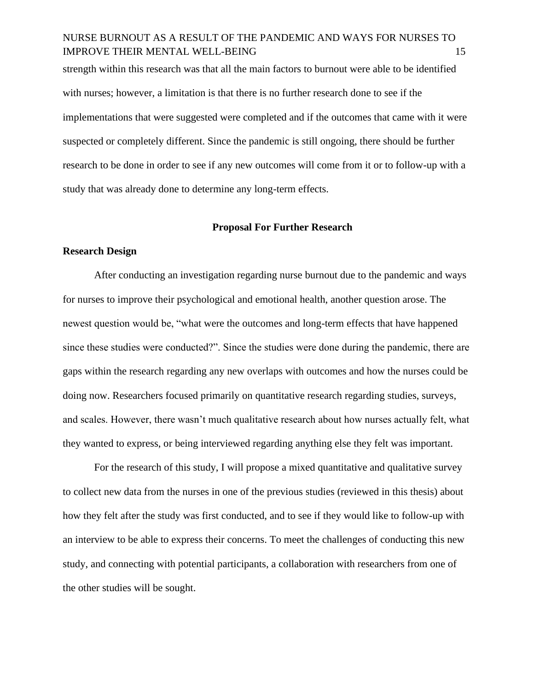strength within this research was that all the main factors to burnout were able to be identified with nurses; however, a limitation is that there is no further research done to see if the implementations that were suggested were completed and if the outcomes that came with it were suspected or completely different. Since the pandemic is still ongoing, there should be further research to be done in order to see if any new outcomes will come from it or to follow-up with a study that was already done to determine any long-term effects.

#### **Proposal For Further Research**

#### **Research Design**

After conducting an investigation regarding nurse burnout due to the pandemic and ways for nurses to improve their psychological and emotional health, another question arose. The newest question would be, "what were the outcomes and long-term effects that have happened since these studies were conducted?". Since the studies were done during the pandemic, there are gaps within the research regarding any new overlaps with outcomes and how the nurses could be doing now. Researchers focused primarily on quantitative research regarding studies, surveys, and scales. However, there wasn't much qualitative research about how nurses actually felt, what they wanted to express, or being interviewed regarding anything else they felt was important.

For the research of this study, I will propose a mixed quantitative and qualitative survey to collect new data from the nurses in one of the previous studies (reviewed in this thesis) about how they felt after the study was first conducted, and to see if they would like to follow-up with an interview to be able to express their concerns. To meet the challenges of conducting this new study, and connecting with potential participants, a collaboration with researchers from one of the other studies will be sought.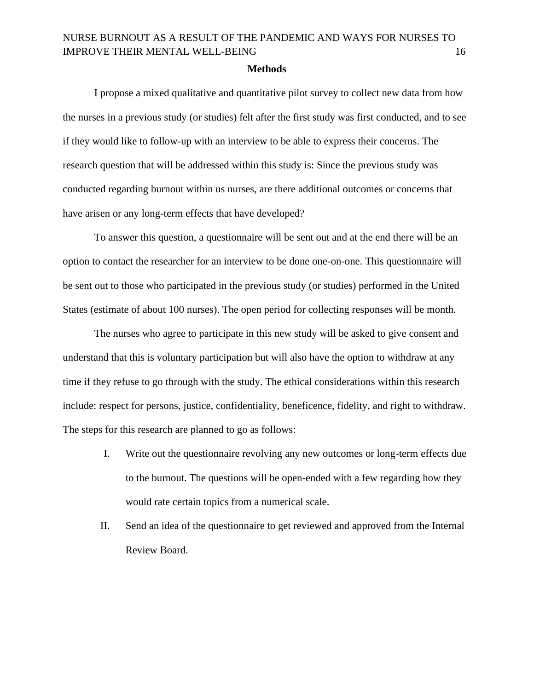#### **Methods**

I propose a mixed qualitative and quantitative pilot survey to collect new data from how the nurses in a previous study (or studies) felt after the first study was first conducted, and to see if they would like to follow-up with an interview to be able to express their concerns. The research question that will be addressed within this study is: Since the previous study was conducted regarding burnout within us nurses, are there additional outcomes or concerns that have arisen or any long-term effects that have developed?

To answer this question, a questionnaire will be sent out and at the end there will be an option to contact the researcher for an interview to be done one-on-one. This questionnaire will be sent out to those who participated in the previous study (or studies) performed in the United States (estimate of about 100 nurses). The open period for collecting responses will be month.

The nurses who agree to participate in this new study will be asked to give consent and understand that this is voluntary participation but will also have the option to withdraw at any time if they refuse to go through with the study. The ethical considerations within this research include: respect for persons, justice, confidentiality, beneficence, fidelity, and right to withdraw. The steps for this research are planned to go as follows:

- I. Write out the questionnaire revolving any new outcomes or long-term effects due to the burnout. The questions will be open-ended with a few regarding how they would rate certain topics from a numerical scale.
- II. Send an idea of the questionnaire to get reviewed and approved from the Internal Review Board.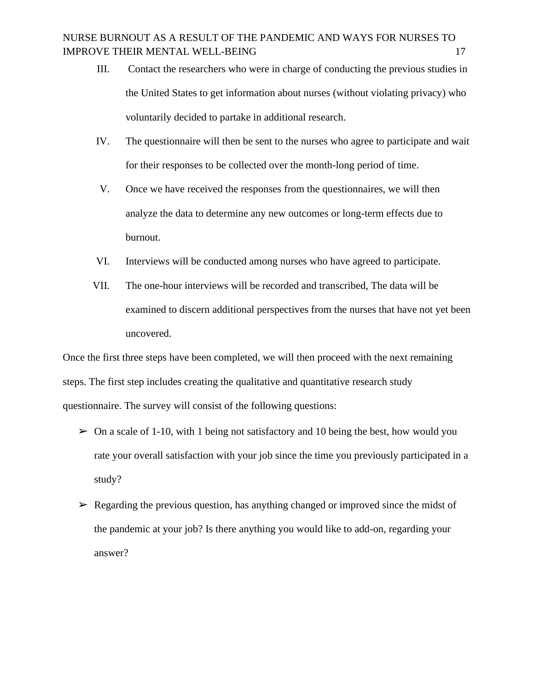- III. Contact the researchers who were in charge of conducting the previous studies in the United States to get information about nurses (without violating privacy) who voluntarily decided to partake in additional research.
- IV. The questionnaire will then be sent to the nurses who agree to participate and wait for their responses to be collected over the month-long period of time.
- V. Once we have received the responses from the questionnaires, we will then analyze the data to determine any new outcomes or long-term effects due to burnout.
- VI. Interviews will be conducted among nurses who have agreed to participate.
- VII. The one-hour interviews will be recorded and transcribed, The data will be examined to discern additional perspectives from the nurses that have not yet been uncovered.

Once the first three steps have been completed, we will then proceed with the next remaining steps. The first step includes creating the qualitative and quantitative research study questionnaire. The survey will consist of the following questions:

- $\geq 0$ n a scale of 1-10, with 1 being not satisfactory and 10 being the best, how would you rate your overall satisfaction with your job since the time you previously participated in a study?
- $\triangleright$  Regarding the previous question, has anything changed or improved since the midst of the pandemic at your job? Is there anything you would like to add-on, regarding your answer?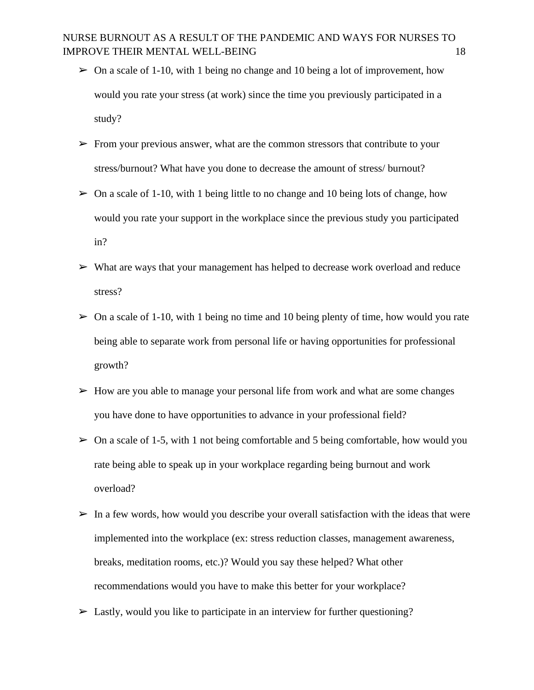- $\geq 0$ n a scale of 1-10, with 1 being no change and 10 being a lot of improvement, how would you rate your stress (at work) since the time you previously participated in a study?
- $\triangleright$  From your previous answer, what are the common stressors that contribute to your stress/burnout? What have you done to decrease the amount of stress/ burnout?
- $\triangleright$  On a scale of 1-10, with 1 being little to no change and 10 being lots of change, how would you rate your support in the workplace since the previous study you participated in?
- ➢ What are ways that your management has helped to decrease work overload and reduce stress?
- $\triangleright$  On a scale of 1-10, with 1 being no time and 10 being plenty of time, how would you rate being able to separate work from personal life or having opportunities for professional growth?
- $\triangleright$  How are you able to manage your personal life from work and what are some changes you have done to have opportunities to advance in your professional field?
- $\geq 0$ n a scale of 1-5, with 1 not being comfortable and 5 being comfortable, how would you rate being able to speak up in your workplace regarding being burnout and work overload?
- $\triangleright$  In a few words, how would you describe your overall satisfaction with the ideas that were implemented into the workplace (ex: stress reduction classes, management awareness, breaks, meditation rooms, etc.)? Would you say these helped? What other recommendations would you have to make this better for your workplace?
- $\triangleright$  Lastly, would you like to participate in an interview for further questioning?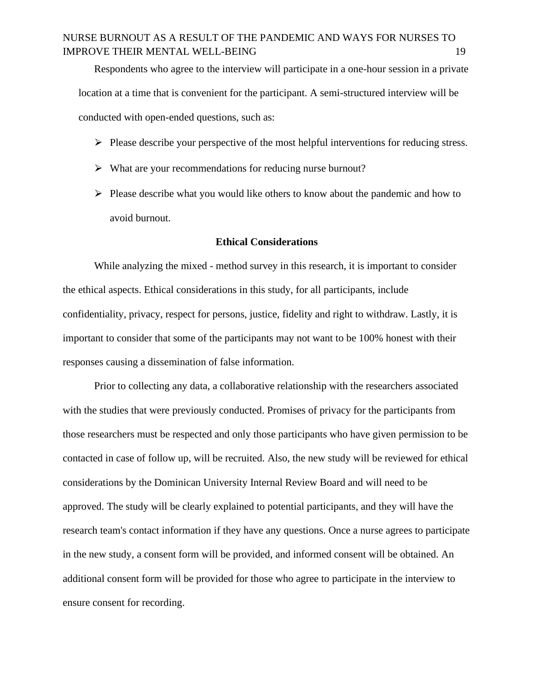Respondents who agree to the interview will participate in a one-hour session in a private location at a time that is convenient for the participant. A semi-structured interview will be conducted with open-ended questions, such as:

- $\triangleright$  Please describe your perspective of the most helpful interventions for reducing stress.
- $\triangleright$  What are your recommendations for reducing nurse burnout?
- $\triangleright$  Please describe what you would like others to know about the pandemic and how to avoid burnout.

#### **Ethical Considerations**

While analyzing the mixed - method survey in this research, it is important to consider the ethical aspects. Ethical considerations in this study, for all participants, include confidentiality, privacy, respect for persons, justice, fidelity and right to withdraw. Lastly, it is important to consider that some of the participants may not want to be 100% honest with their responses causing a dissemination of false information.

Prior to collecting any data, a collaborative relationship with the researchers associated with the studies that were previously conducted. Promises of privacy for the participants from those researchers must be respected and only those participants who have given permission to be contacted in case of follow up, will be recruited. Also, the new study will be reviewed for ethical considerations by the Dominican University Internal Review Board and will need to be approved. The study will be clearly explained to potential participants, and they will have the research team's contact information if they have any questions. Once a nurse agrees to participate in the new study, a consent form will be provided, and informed consent will be obtained. An additional consent form will be provided for those who agree to participate in the interview to ensure consent for recording.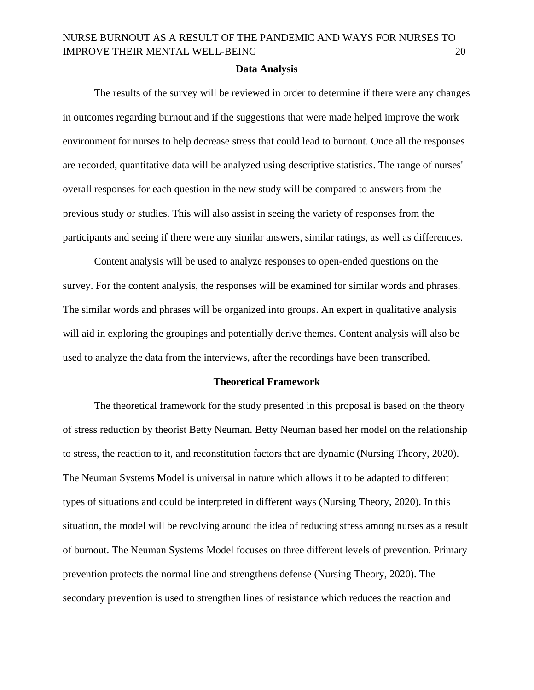#### **Data Analysis**

The results of the survey will be reviewed in order to determine if there were any changes in outcomes regarding burnout and if the suggestions that were made helped improve the work environment for nurses to help decrease stress that could lead to burnout. Once all the responses are recorded, quantitative data will be analyzed using descriptive statistics. The range of nurses' overall responses for each question in the new study will be compared to answers from the previous study or studies. This will also assist in seeing the variety of responses from the participants and seeing if there were any similar answers, similar ratings, as well as differences.

Content analysis will be used to analyze responses to open-ended questions on the survey. For the content analysis, the responses will be examined for similar words and phrases. The similar words and phrases will be organized into groups. An expert in qualitative analysis will aid in exploring the groupings and potentially derive themes. Content analysis will also be used to analyze the data from the interviews, after the recordings have been transcribed.

#### **Theoretical Framework**

The theoretical framework for the study presented in this proposal is based on the theory of stress reduction by theorist Betty Neuman. Betty Neuman based her model on the relationship to stress, the reaction to it, and reconstitution factors that are dynamic (Nursing Theory, 2020). The Neuman Systems Model is universal in nature which allows it to be adapted to different types of situations and could be interpreted in different ways (Nursing Theory, 2020). In this situation, the model will be revolving around the idea of reducing stress among nurses as a result of burnout. The Neuman Systems Model focuses on three different levels of prevention. Primary prevention protects the normal line and strengthens defense (Nursing Theory, 2020). The secondary prevention is used to strengthen lines of resistance which reduces the reaction and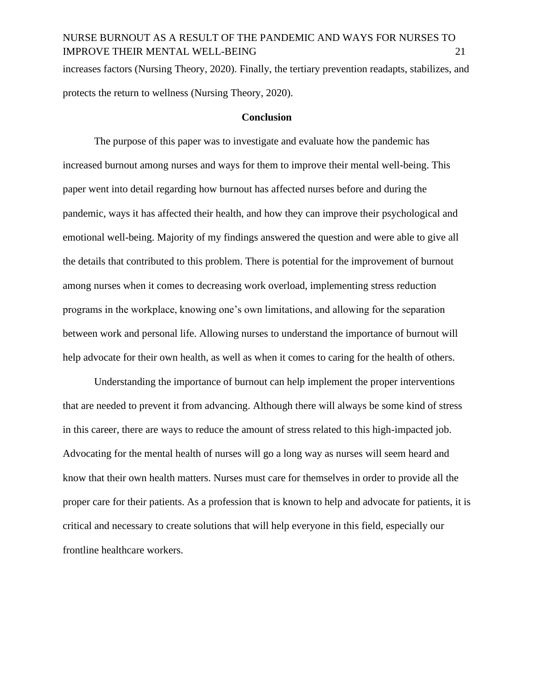increases factors (Nursing Theory, 2020). Finally, the tertiary prevention readapts, stabilizes, and protects the return to wellness (Nursing Theory, 2020).

#### **Conclusion**

The purpose of this paper was to investigate and evaluate how the pandemic has increased burnout among nurses and ways for them to improve their mental well-being. This paper went into detail regarding how burnout has affected nurses before and during the pandemic, ways it has affected their health, and how they can improve their psychological and emotional well-being. Majority of my findings answered the question and were able to give all the details that contributed to this problem. There is potential for the improvement of burnout among nurses when it comes to decreasing work overload, implementing stress reduction programs in the workplace, knowing one's own limitations, and allowing for the separation between work and personal life. Allowing nurses to understand the importance of burnout will help advocate for their own health, as well as when it comes to caring for the health of others.

Understanding the importance of burnout can help implement the proper interventions that are needed to prevent it from advancing. Although there will always be some kind of stress in this career, there are ways to reduce the amount of stress related to this high-impacted job. Advocating for the mental health of nurses will go a long way as nurses will seem heard and know that their own health matters. Nurses must care for themselves in order to provide all the proper care for their patients. As a profession that is known to help and advocate for patients, it is critical and necessary to create solutions that will help everyone in this field, especially our frontline healthcare workers.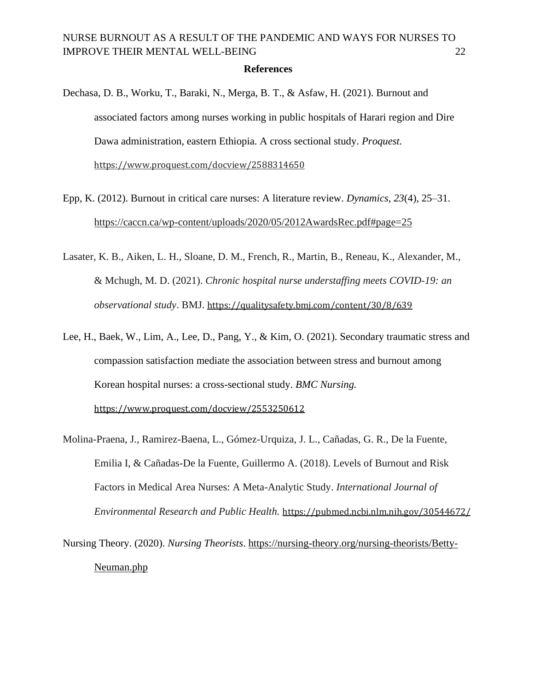#### **References**

Dechasa, D. B., Worku, T., Baraki, N., Merga, B. T., & Asfaw, H. (2021). Burnout and associated factors among nurses working in public hospitals of Harari region and Dire Dawa administration, eastern Ethiopia. A cross sectional study. *Proquest.*  <https://www.proquest.com/docview/2588314650>

Epp, K. (2012). Burnout in critical care nurses: A literature review. *Dynamics, 23*(4), 25–31. <https://caccn.ca/wp-content/uploads/2020/05/2012AwardsRec.pdf#page=25>

Lasater, K. B., Aiken, L. H., Sloane, D. M., French, R., Martin, B., Reneau, K., Alexander, M., & Mchugh, M. D. (2021). *Chronic hospital nurse understaffing meets COVID-19: an observational study*. BMJ. <https://qualitysafety.bmj.com/content/30/8/639>

Lee, H., Baek, W., Lim, A., Lee, D., Pang, Y., & Kim, O. (2021). Secondary traumatic stress and compassion satisfaction mediate the association between stress and burnout among Korean hospital nurses: a cross-sectional study. *BMC Nursing.* 

<https://www.proquest.com/docview/2553250612>

Molina-Praena, J., Ramirez-Baena, L., Gómez-Urquiza, J. L., Cañadas, G. R., De la Fuente, Emilia I, & Cañadas-De la Fuente, Guillermo A. (2018). Levels of Burnout and Risk Factors in Medical Area Nurses: A Meta-Analytic Study. *International Journal of Environmental Research and Public Health.* <https://pubmed.ncbi.nlm.nih.gov/30544672/>

Nursing Theory. (2020). *Nursing Theorists*. https://nursing-theory.org/nursing-theorists/Betty-Neuman.php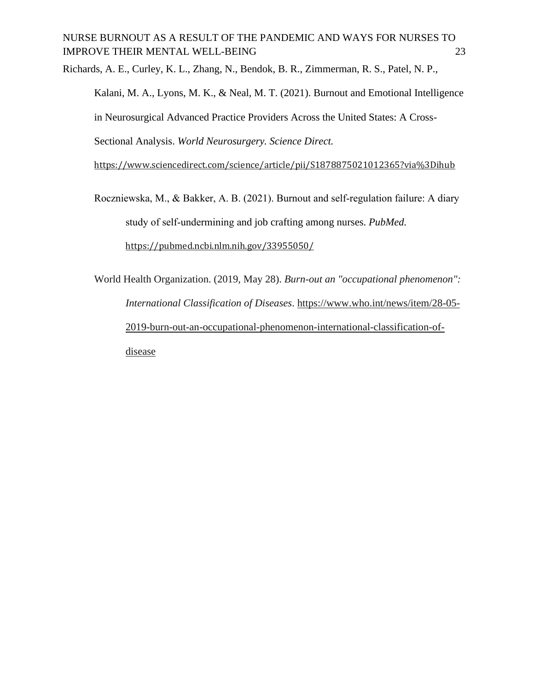Richards, A. E., Curley, K. L., Zhang, N., Bendok, B. R., Zimmerman, R. S., Patel, N. P., Kalani, M. A., Lyons, M. K., & Neal, M. T. (2021). Burnout and Emotional Intelligence in Neurosurgical Advanced Practice Providers Across the United States: A Cross-Sectional Analysis. *World Neurosurgery. Science Direct.* 

<https://www.sciencedirect.com/science/article/pii/S1878875021012365?via%3Dihub>

Roczniewska, M., & Bakker, A. B. (2021). Burnout and self‐regulation failure: A diary study of self‐undermining and job crafting among nurses. *PubMed.*  <https://pubmed.ncbi.nlm.nih.gov/33955050/>

World Health Organization. (2019, May 28). *Burn-out an "occupational phenomenon": International Classification of Diseases*. [https://www.who.int/news/item/28-05-](https://www.who.int/news/item/28-05-2019-burn-out-an-occupational-phenomenon-international-classification-of-diseases) [2019-burn-out-an-occupational-phenomenon-international-classification-of](https://www.who.int/news/item/28-05-2019-burn-out-an-occupational-phenomenon-international-classification-of-diseases)[disease](https://www.who.int/news/item/28-05-2019-burn-out-an-occupational-phenomenon-international-classification-of-diseases)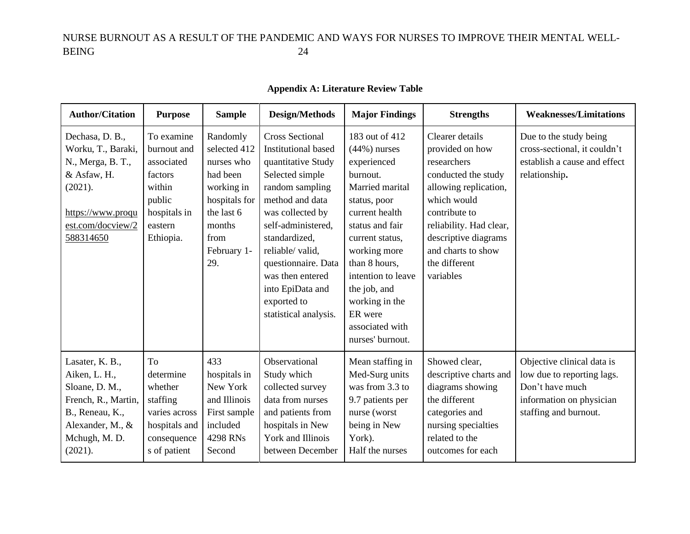### **Appendix A: Literature Review Table**

| <b>Author/Citation</b>                                                                                                                       | <b>Purpose</b>                                                                                                 | <b>Sample</b>                                                                                                                           | <b>Design/Methods</b>                                                                                                                                                                                                                                                                                                     | <b>Major Findings</b>                                                                                                                                                                                                                                                                              | <b>Strengths</b>                                                                                                                                                                                                                         | <b>Weaknesses/Limitations</b>                                                                                                    |
|----------------------------------------------------------------------------------------------------------------------------------------------|----------------------------------------------------------------------------------------------------------------|-----------------------------------------------------------------------------------------------------------------------------------------|---------------------------------------------------------------------------------------------------------------------------------------------------------------------------------------------------------------------------------------------------------------------------------------------------------------------------|----------------------------------------------------------------------------------------------------------------------------------------------------------------------------------------------------------------------------------------------------------------------------------------------------|------------------------------------------------------------------------------------------------------------------------------------------------------------------------------------------------------------------------------------------|----------------------------------------------------------------------------------------------------------------------------------|
| Dechasa, D. B.,<br>Worku, T., Baraki,<br>N., Merga, B. T.,<br>& Asfaw, H.<br>(2021).<br>https://www.proqu<br>est.com/docview/2<br>588314650  | To examine<br>burnout and<br>associated<br>factors<br>within<br>public<br>hospitals in<br>eastern<br>Ethiopia. | Randomly<br>selected 412<br>nurses who<br>had been<br>working in<br>hospitals for<br>the last 6<br>months<br>from<br>February 1-<br>29. | <b>Cross Sectional</b><br><b>Institutional based</b><br>quantitative Study<br>Selected simple<br>random sampling<br>method and data<br>was collected by<br>self-administered,<br>standardized,<br>reliable/ valid,<br>questionnaire. Data<br>was then entered<br>into EpiData and<br>exported to<br>statistical analysis. | 183 out of 412<br>$(44\%)$ nurses<br>experienced<br>burnout.<br>Married marital<br>status, poor<br>current health<br>status and fair<br>current status,<br>working more<br>than 8 hours,<br>intention to leave<br>the job, and<br>working in the<br>ER were<br>associated with<br>nurses' burnout. | Clearer details<br>provided on how<br>researchers<br>conducted the study<br>allowing replication,<br>which would<br>contribute to<br>reliability. Had clear,<br>descriptive diagrams<br>and charts to show<br>the different<br>variables | Due to the study being<br>cross-sectional, it couldn't<br>establish a cause and effect<br>relationship.                          |
| Lasater, K. B.,<br>Aiken, L. H.,<br>Sloane, D. M.,<br>French, R., Martin,<br>B., Reneau, K.,<br>Alexander, M., &<br>Mchugh, M. D.<br>(2021). | To<br>determine<br>whether<br>staffing<br>varies across<br>hospitals and<br>consequence<br>s of patient        | 433<br>hospitals in<br>New York<br>and Illinois<br>First sample<br>included<br>4298 RNs<br>Second                                       | Observational<br>Study which<br>collected survey<br>data from nurses<br>and patients from<br>hospitals in New<br>York and Illinois<br>between December                                                                                                                                                                    | Mean staffing in<br>Med-Surg units<br>was from 3.3 to<br>9.7 patients per<br>nurse (worst<br>being in New<br>York).<br>Half the nurses                                                                                                                                                             | Showed clear,<br>descriptive charts and<br>diagrams showing<br>the different<br>categories and<br>nursing specialties<br>related to the<br>outcomes for each                                                                             | Objective clinical data is<br>low due to reporting lags.<br>Don't have much<br>information on physician<br>staffing and burnout. |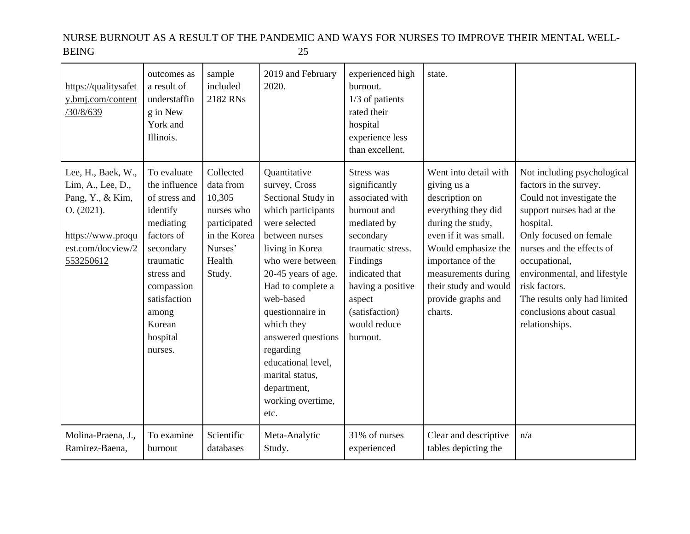| https://qualitysafet<br>y.bmj.com/content<br>30/8/639                                                                            | outcomes as<br>a result of<br>understaffin<br>g in New<br>York and<br>Illinois.                                                                                                                      | sample<br>included<br>2182 RNs                                                                                | 2019 and February<br>2020.                                                                                                                                                                                                                                                                                                                                             | experienced high<br>burnout.<br>$1/3$ of patients<br>rated their<br>hospital<br>experience less<br>than excellent.                                                                                                        | state.                                                                                                                                                                                                                                                   |                                                                                                                                                                                                                                                                                                                                     |
|----------------------------------------------------------------------------------------------------------------------------------|------------------------------------------------------------------------------------------------------------------------------------------------------------------------------------------------------|---------------------------------------------------------------------------------------------------------------|------------------------------------------------------------------------------------------------------------------------------------------------------------------------------------------------------------------------------------------------------------------------------------------------------------------------------------------------------------------------|---------------------------------------------------------------------------------------------------------------------------------------------------------------------------------------------------------------------------|----------------------------------------------------------------------------------------------------------------------------------------------------------------------------------------------------------------------------------------------------------|-------------------------------------------------------------------------------------------------------------------------------------------------------------------------------------------------------------------------------------------------------------------------------------------------------------------------------------|
| Lee, H., Baek, W.,<br>Lim, A., Lee, D.,<br>Pang, Y., & Kim,<br>O. (2021).<br>https://www.proqu<br>est.com/docview/2<br>553250612 | To evaluate<br>the influence<br>of stress and<br>identify<br>mediating<br>factors of<br>secondary<br>traumatic<br>stress and<br>compassion<br>satisfaction<br>among<br>Korean<br>hospital<br>nurses. | Collected<br>data from<br>10,305<br>nurses who<br>participated<br>in the Korea<br>Nurses'<br>Health<br>Study. | Ouantitative<br>survey, Cross<br>Sectional Study in<br>which participants<br>were selected<br>between nurses<br>living in Korea<br>who were between<br>20-45 years of age.<br>Had to complete a<br>web-based<br>questionnaire in<br>which they<br>answered questions<br>regarding<br>educational level,<br>marital status,<br>department,<br>working overtime,<br>etc. | Stress was<br>significantly<br>associated with<br>burnout and<br>mediated by<br>secondary<br>traumatic stress.<br>Findings<br>indicated that<br>having a positive<br>aspect<br>(satisfaction)<br>would reduce<br>burnout. | Went into detail with<br>giving us a<br>description on<br>everything they did<br>during the study,<br>even if it was small.<br>Would emphasize the<br>importance of the<br>measurements during<br>their study and would<br>provide graphs and<br>charts. | Not including psychological<br>factors in the survey.<br>Could not investigate the<br>support nurses had at the<br>hospital.<br>Only focused on female<br>nurses and the effects of<br>occupational,<br>environmental, and lifestyle<br>risk factors.<br>The results only had limited<br>conclusions about casual<br>relationships. |
| Molina-Praena, J.,<br>Ramirez-Baena,                                                                                             | To examine<br>burnout                                                                                                                                                                                | Scientific<br>databases                                                                                       | Meta-Analytic<br>Study.                                                                                                                                                                                                                                                                                                                                                | 31% of nurses<br>experienced                                                                                                                                                                                              | Clear and descriptive<br>tables depicting the                                                                                                                                                                                                            | n/a                                                                                                                                                                                                                                                                                                                                 |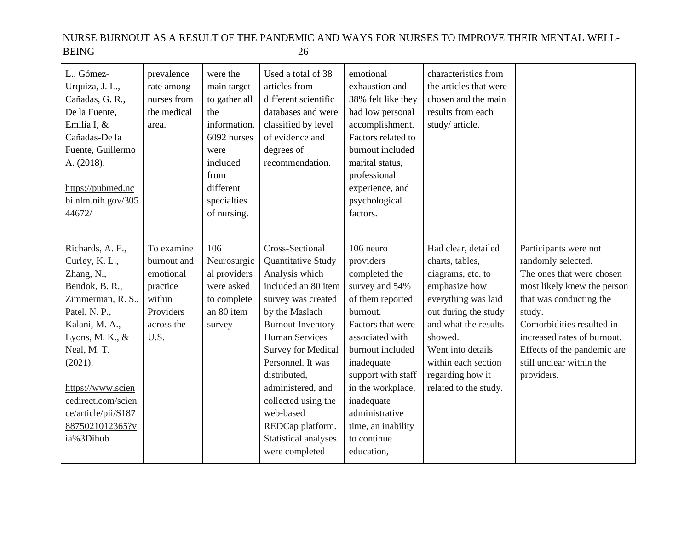| L., Gómez-<br>Urquiza, J. L.,<br>Cañadas, G. R.,<br>De la Fuente,<br>Emilia I, &<br>Cañadas-De la<br>Fuente, Guillermo<br>A. (2018).<br>https://pubmed.nc<br>bi.nlm.nih.gov/305<br>44672/                                                                                  | prevalence<br>rate among<br>nurses from<br>the medical<br>area.                                 | were the<br>main target<br>to gather all<br>the<br>information.<br>6092 nurses<br>were<br>included<br>from<br>different<br>specialties<br>of nursing. | Used a total of 38<br>articles from<br>different scientific<br>databases and were<br>classified by level<br>of evidence and<br>degrees of<br>recommendation.                                                                                                                                                                                                         | emotional<br>exhaustion and<br>38% felt like they<br>had low personal<br>accomplishment.<br>Factors related to<br>burnout included<br>marital status,<br>professional<br>experience, and<br>psychological<br>factors.                                                                             | characteristics from<br>the articles that were<br>chosen and the main<br>results from each<br>study/article.                                                                                                                                            |                                                                                                                                                                                                                                                                                   |
|----------------------------------------------------------------------------------------------------------------------------------------------------------------------------------------------------------------------------------------------------------------------------|-------------------------------------------------------------------------------------------------|-------------------------------------------------------------------------------------------------------------------------------------------------------|----------------------------------------------------------------------------------------------------------------------------------------------------------------------------------------------------------------------------------------------------------------------------------------------------------------------------------------------------------------------|---------------------------------------------------------------------------------------------------------------------------------------------------------------------------------------------------------------------------------------------------------------------------------------------------|---------------------------------------------------------------------------------------------------------------------------------------------------------------------------------------------------------------------------------------------------------|-----------------------------------------------------------------------------------------------------------------------------------------------------------------------------------------------------------------------------------------------------------------------------------|
| Richards, A. E.,<br>Curley, K. L.,<br>Zhang, N.,<br>Bendok, B. R.,<br>Zimmerman, R. S.,<br>Patel, N. P.,<br>Kalani, M. A.,<br>Lyons, M. K., $&$<br>Neal, M.T.<br>(2021).<br>https://www.scien<br>cedirect.com/scien<br>ce/article/pii/S187<br>8875021012365?v<br>ia%3Dihub | To examine<br>burnout and<br>emotional<br>practice<br>within<br>Providers<br>across the<br>U.S. | 106<br>Neurosurgic<br>al providers<br>were asked<br>to complete<br>an 80 item<br>survey                                                               | Cross-Sectional<br>Quantitative Study<br>Analysis which<br>included an 80 item<br>survey was created<br>by the Maslach<br><b>Burnout Inventory</b><br><b>Human Services</b><br><b>Survey for Medical</b><br>Personnel. It was<br>distributed,<br>administered, and<br>collected using the<br>web-based<br>REDCap platform.<br>Statistical analyses<br>were completed | 106 neuro<br>providers<br>completed the<br>survey and 54%<br>of them reported<br>burnout.<br>Factors that were<br>associated with<br>burnout included<br>inadequate<br>support with staff<br>in the workplace,<br>inadequate<br>administrative<br>time, an inability<br>to continue<br>education, | Had clear, detailed<br>charts, tables,<br>diagrams, etc. to<br>emphasize how<br>everything was laid<br>out during the study<br>and what the results<br>showed.<br>Went into details<br>within each section<br>regarding how it<br>related to the study. | Participants were not<br>randomly selected.<br>The ones that were chosen<br>most likely knew the person<br>that was conducting the<br>study.<br>Comorbidities resulted in<br>increased rates of burnout.<br>Effects of the pandemic are<br>still unclear within the<br>providers. |